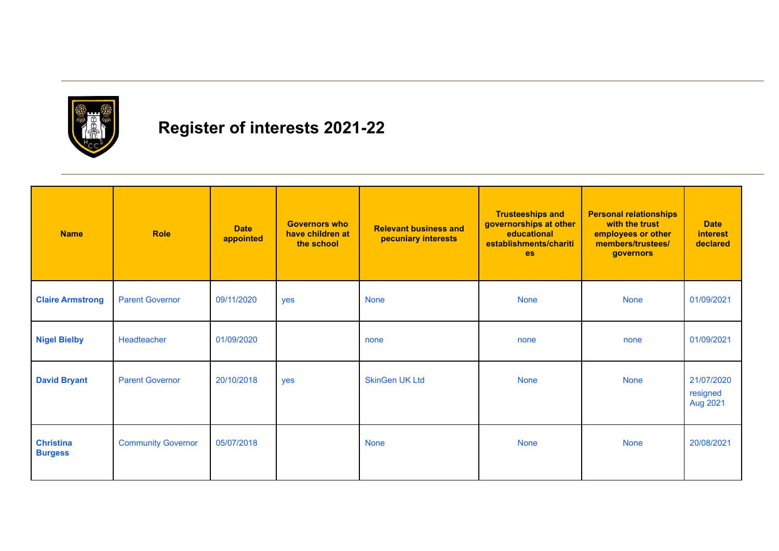

## **Register of interests 2021-22**

| <b>Name</b>                        | <b>Role</b>               | <b>Date</b><br>appointed | <b>Governors who</b><br>have children at<br>the school | <b>Relevant business and</b><br>pecuniary interests | <b>Trusteeships and</b><br>governorships at other<br>educational<br>establishments/chariti<br><b>es</b> | <b>Personal relationships</b><br>with the trust<br>employees or other<br>members/trustees/<br>governors | <b>Date</b><br><i>interest</i><br>declared |
|------------------------------------|---------------------------|--------------------------|--------------------------------------------------------|-----------------------------------------------------|---------------------------------------------------------------------------------------------------------|---------------------------------------------------------------------------------------------------------|--------------------------------------------|
| <b>Claire Armstrong</b>            | <b>Parent Governor</b>    | 09/11/2020               | yes                                                    | <b>None</b>                                         | <b>None</b>                                                                                             | <b>None</b>                                                                                             | 01/09/2021                                 |
| <b>Nigel Bielby</b>                | Headteacher               | 01/09/2020               |                                                        | none                                                | none                                                                                                    | none                                                                                                    | 01/09/2021                                 |
| <b>David Bryant</b>                | <b>Parent Governor</b>    | 20/10/2018               | yes                                                    | <b>SkinGen UK Ltd</b>                               | <b>None</b>                                                                                             | <b>None</b>                                                                                             | 21/07/2020<br>resigned<br>Aug 2021         |
| <b>Christina</b><br><b>Burgess</b> | <b>Community Governor</b> | 05/07/2018               |                                                        | <b>None</b>                                         | <b>None</b>                                                                                             | <b>None</b>                                                                                             | 20/08/2021                                 |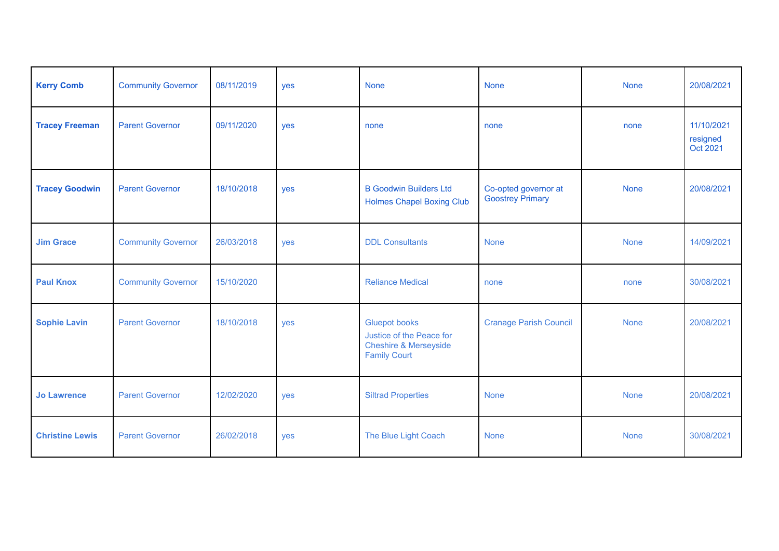| <b>Kerry Comb</b>      | <b>Community Governor</b> | 08/11/2019 | yes        | <b>None</b>                                                                                                 | <b>None</b>                                     | <b>None</b> | 20/08/2021                         |
|------------------------|---------------------------|------------|------------|-------------------------------------------------------------------------------------------------------------|-------------------------------------------------|-------------|------------------------------------|
| <b>Tracey Freeman</b>  | <b>Parent Governor</b>    | 09/11/2020 | yes        | none                                                                                                        | none                                            | none        | 11/10/2021<br>resigned<br>Oct 2021 |
| <b>Tracey Goodwin</b>  | <b>Parent Governor</b>    | 18/10/2018 | yes        | <b>B Goodwin Builders Ltd</b><br><b>Holmes Chapel Boxing Club</b>                                           | Co-opted governor at<br><b>Goostrey Primary</b> | <b>None</b> | 20/08/2021                         |
| <b>Jim Grace</b>       | <b>Community Governor</b> | 26/03/2018 | yes        | <b>DDL Consultants</b>                                                                                      | <b>None</b>                                     | <b>None</b> | 14/09/2021                         |
| <b>Paul Knox</b>       | <b>Community Governor</b> | 15/10/2020 |            | <b>Reliance Medical</b>                                                                                     | none                                            | none        | 30/08/2021                         |
| <b>Sophie Lavin</b>    | <b>Parent Governor</b>    | 18/10/2018 | <b>ves</b> | <b>Gluepot books</b><br>Justice of the Peace for<br><b>Cheshire &amp; Merseyside</b><br><b>Family Court</b> | <b>Cranage Parish Council</b>                   | <b>None</b> | 20/08/2021                         |
| <b>Jo Lawrence</b>     | <b>Parent Governor</b>    | 12/02/2020 | yes        | <b>Siltrad Properties</b>                                                                                   | <b>None</b>                                     | <b>None</b> | 20/08/2021                         |
| <b>Christine Lewis</b> | <b>Parent Governor</b>    | 26/02/2018 | <b>ves</b> | The Blue Light Coach                                                                                        | <b>None</b>                                     | <b>None</b> | 30/08/2021                         |